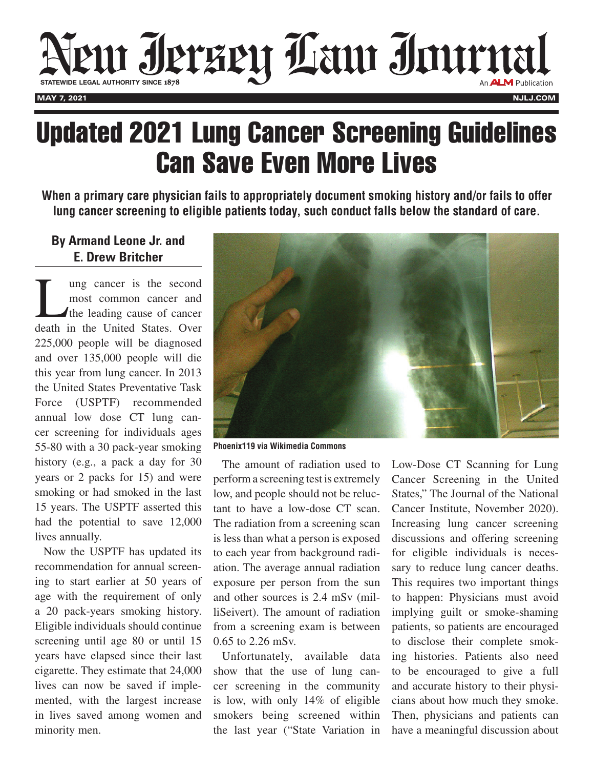

## Updated 2021 Lung Cancer Screening Guidelines Can Save Even More Lives

**When a primary care physician fails to appropriately document smoking history and/or fails to offer lung cancer screening to eligible patients today, such conduct falls below the standard of care.** 

## **By Armand Leone Jr. and E. Drew Britcher**

Lung cancer is the second most common cancer and the leading cause of cancer death in the United States. Over 225,000 people will be diagnosed and over 135,000 people will die this year from lung cancer. In 2013 the United States Preventative Task Force (USPTF) recommended annual low dose CT lung cancer screening for individuals ages 55-80 with a 30 pack-year smoking history (e.g., a pack a day for 30 years or 2 packs for 15) and were smoking or had smoked in the last 15 years. The USPTF asserted this had the potential to save 12,000 lives annually.

Now the USPTF has updated its recommendation for annual screening to start earlier at 50 years of age with the requirement of only a 20 pack-years smoking history. Eligible individuals should continue screening until age 80 or until 15 years have elapsed since their last cigarette. They estimate that 24,000 lives can now be saved if implemented, with the largest increase in lives saved among women and minority men.



**Phoenix119 via Wikimedia Commons**

The amount of radiation used to perform a screening test is extremely low, and people should not be reluctant to have a low-dose CT scan. The radiation from a screening scan is less than what a person is exposed to each year from background radiation. The average annual radiation exposure per person from the sun and other sources is 2.4 mSv (milliSeivert). The amount of radiation from a screening exam is between 0.65 to 2.26 mSv.

Unfortunately, available data show that the use of lung cancer screening in the community is low, with only 14% of eligible smokers being screened within the last year ("State Variation in

Low-Dose CT Scanning for Lung Cancer Screening in the United States," The Journal of the National Cancer Institute, November 2020). Increasing lung cancer screening discussions and offering screening for eligible individuals is necessary to reduce lung cancer deaths. This requires two important things to happen: Physicians must avoid implying guilt or smoke-shaming patients, so patients are encouraged to disclose their complete smoking histories. Patients also need to be encouraged to give a full and accurate history to their physicians about how much they smoke. Then, physicians and patients can have a meaningful discussion about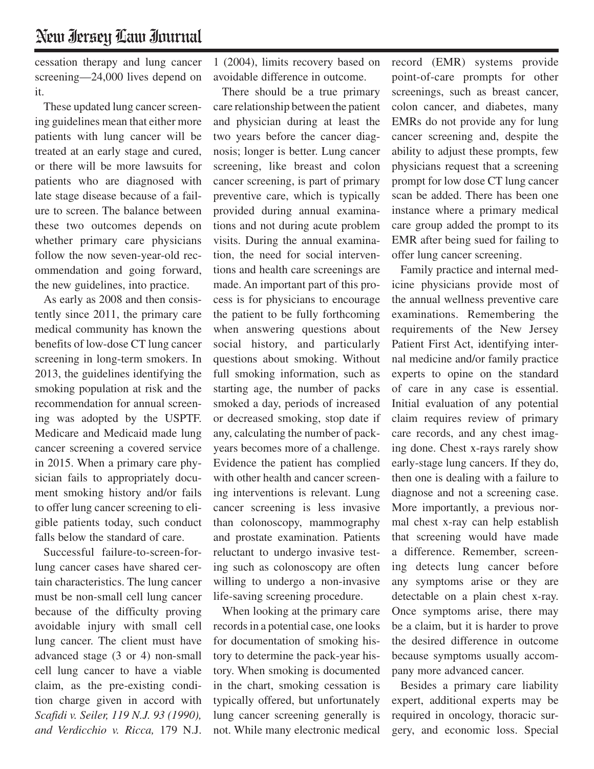cessation therapy and lung cancer screening—24,000 lives depend on it.

These updated lung cancer screening guidelines mean that either more patients with lung cancer will be treated at an early stage and cured, or there will be more lawsuits for patients who are diagnosed with late stage disease because of a failure to screen. The balance between these two outcomes depends on whether primary care physicians follow the now seven-year-old recommendation and going forward, the new guidelines, into practice.

As early as 2008 and then consistently since 2011, the primary care medical community has known the benefits of low-dose CT lung cancer screening in long-term smokers. In 2013, the guidelines identifying the smoking population at risk and the recommendation for annual screening was adopted by the USPTF. Medicare and Medicaid made lung cancer screening a covered service in 2015. When a primary care physician fails to appropriately document smoking history and/or fails to offer lung cancer screening to eligible patients today, such conduct falls below the standard of care.

Successful failure-to-screen-forlung cancer cases have shared certain characteristics. The lung cancer must be non-small cell lung cancer because of the difficulty proving avoidable injury with small cell lung cancer. The client must have advanced stage (3 or 4) non-small cell lung cancer to have a viable claim, as the pre-existing condition charge given in accord with *Scafidi v. Seiler, 119 N.J. 93 (1990), and Verdicchio v. Ricca,* 179 N.J.

1 (2004), limits recovery based on avoidable difference in outcome.

There should be a true primary care relationship between the patient and physician during at least the two years before the cancer diagnosis; longer is better. Lung cancer screening, like breast and colon cancer screening, is part of primary preventive care, which is typically provided during annual examinations and not during acute problem visits. During the annual examination, the need for social interventions and health care screenings are made. An important part of this process is for physicians to encourage the patient to be fully forthcoming when answering questions about social history, and particularly questions about smoking. Without full smoking information, such as starting age, the number of packs smoked a day, periods of increased or decreased smoking, stop date if any, calculating the number of packyears becomes more of a challenge. Evidence the patient has complied with other health and cancer screening interventions is relevant. Lung cancer screening is less invasive than colonoscopy, mammography and prostate examination. Patients reluctant to undergo invasive testing such as colonoscopy are often willing to undergo a non-invasive life-saving screening procedure.

When looking at the primary care records in a potential case, one looks for documentation of smoking history to determine the pack-year history. When smoking is documented in the chart, smoking cessation is typically offered, but unfortunately lung cancer screening generally is not. While many electronic medical

record (EMR) systems provide point-of-care prompts for other screenings, such as breast cancer, colon cancer, and diabetes, many EMRs do not provide any for lung cancer screening and, despite the ability to adjust these prompts, few physicians request that a screening prompt for low dose CT lung cancer scan be added. There has been one instance where a primary medical care group added the prompt to its EMR after being sued for failing to offer lung cancer screening.

Family practice and internal medicine physicians provide most of the annual wellness preventive care examinations. Remembering the requirements of the New Jersey Patient First Act, identifying internal medicine and/or family practice experts to opine on the standard of care in any case is essential. Initial evaluation of any potential claim requires review of primary care records, and any chest imaging done. Chest x-rays rarely show early-stage lung cancers. If they do, then one is dealing with a failure to diagnose and not a screening case. More importantly, a previous normal chest x-ray can help establish that screening would have made a difference. Remember, screening detects lung cancer before any symptoms arise or they are detectable on a plain chest x-ray. Once symptoms arise, there may be a claim, but it is harder to prove the desired difference in outcome because symptoms usually accompany more advanced cancer.

Besides a primary care liability expert, additional experts may be required in oncology, thoracic surgery, and economic loss. Special